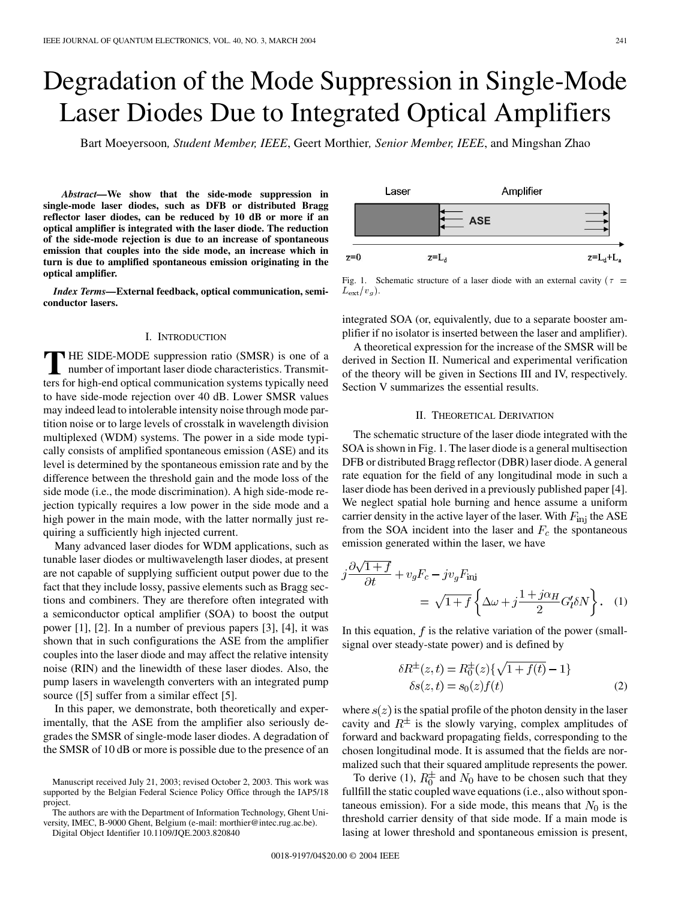# Degradation of the Mode Suppression in Single-Mode Laser Diodes Due to Integrated Optical Amplifiers

Bart Moeyersoon*, Student Member, IEEE*, Geert Morthier*, Senior Member, IEEE*, and Mingshan Zhao

*Abstract—***We show that the side-mode suppression in single-mode laser diodes, such as DFB or distributed Bragg reflector laser diodes, can be reduced by 10 dB or more if an optical amplifier is integrated with the laser diode. The reduction of the side-mode rejection is due to an increase of spontaneous emission that couples into the side mode, an increase which in turn is due to amplified spontaneous emission originating in the optical amplifier.**

*Index Terms—***External feedback, optical communication, semiconductor lasers.**

## I. INTRODUCTION

**T** HE SIDE-MODE suppression ratio (SMSR) is one of a number of important laser diode characteristics. Transmitters for high-end optical communication systems typically need to have side-mode rejection over 40 dB. Lower SMSR values may indeed lead to intolerable intensity noise through mode partition noise or to large levels of crosstalk in wavelength division multiplexed (WDM) systems. The power in a side mode typically consists of amplified spontaneous emission (ASE) and its level is determined by the spontaneous emission rate and by the difference between the threshold gain and the mode loss of the side mode (i.e., the mode discrimination). A high side-mode rejection typically requires a low power in the side mode and a high power in the main mode, with the latter normally just requiring a sufficiently high injected current.

Many advanced laser diodes for WDM applications, such as tunable laser diodes or multiwavelength laser diodes, at present are not capable of supplying sufficient output power due to the fact that they include lossy, passive elements such as Bragg sections and combiners. They are therefore often integrated with a semiconductor optical amplifier (SOA) to boost the output power [\[1](#page-3-0)], [\[2](#page-3-0)]. In a number of previous papers [[3\]](#page-3-0), [\[4](#page-3-0)], it was shown that in such configurations the ASE from the amplifier couples into the laser diode and may affect the relative intensity noise (RIN) and the linewidth of these laser diodes. Also, the pump lasers in wavelength converters with an integrated pump source ([\[5](#page-3-0)] suffer from a similar effect [\[5](#page-3-0)].

In this paper, we demonstrate, both theoretically and experimentally, that the ASE from the amplifier also seriously degrades the SMSR of single-mode laser diodes. A degradation of the SMSR of 10 dB or more is possible due to the presence of an

The authors are with the Department of Information Technology, Ghent University, IMEC, B-9000 Ghent, Belgium (e-mail: morthier@intec.rug.ac.be).

Digital Object Identifier 10.1109/JQE.2003.820840



Fig. 1. Schematic structure of a laser diode with an external cavity ( $\tau$  =  $L_{\rm ext}/v_g$ .

integrated SOA (or, equivalently, due to a separate booster amplifier if no isolator is inserted between the laser and amplifier).

A theoretical expression for the increase of the SMSR will be derived in Section II. Numerical and experimental verification of the theory will be given in Sections III and IV, respectively. Section V summarizes the essential results.

#### II. THEORETICAL DERIVATION

The schematic structure of the laser diode integrated with the SOA is shown in Fig. 1. The laser diode is a general multisection DFB or distributed Bragg reflector (DBR) laser diode. A general rate equation for the field of any longitudinal mode in such a laser diode has been derived in a previously published paper [\[4](#page-3-0)]. We neglect spatial hole burning and hence assume a uniform carrier density in the active layer of the laser. With  $F_{\text{ini}}$  the ASE from the SOA incident into the laser and  $F_c$  the spontaneous emission generated within the laser, we have

$$
j\frac{\partial\sqrt{1+f}}{\partial t} + v_g F_c - jv_g F_{\text{inj}}= \sqrt{1+f} \left\{ \Delta\omega + j\frac{1+j\alpha_H}{2} G_l' \delta N \right\}.
$$
 (1)

In this equation,  $f$  is the relative variation of the power (smallsignal over steady-state power) and is defined by

$$
\delta R^{\pm}(z,t) = R_0^{\pm}(z)\{\sqrt{1 + f(t) - 1}\}\
$$
  

$$
\delta s(z,t) = s_0(z)f(t)
$$
 (2)

where  $s(z)$  is the spatial profile of the photon density in the laser cavity and  $R^{\pm}$  is the slowly varying, complex amplitudes of forward and backward propagating fields, corresponding to the chosen longitudinal mode. It is assumed that the fields are normalized such that their squared amplitude represents the power.

To derive (1),  $R_0^{\pm}$  and  $N_0$  have to be chosen such that they fullfill the static coupled wave equations (i.e., also without spontaneous emission). For a side mode, this means that  $N_0$  is the threshold carrier density of that side mode. If a main mode is lasing at lower threshold and spontaneous emission is present,

Manuscript received July 21, 2003; revised October 2, 2003. This work was supported by the Belgian Federal Science Policy Office through the IAP5/18 project.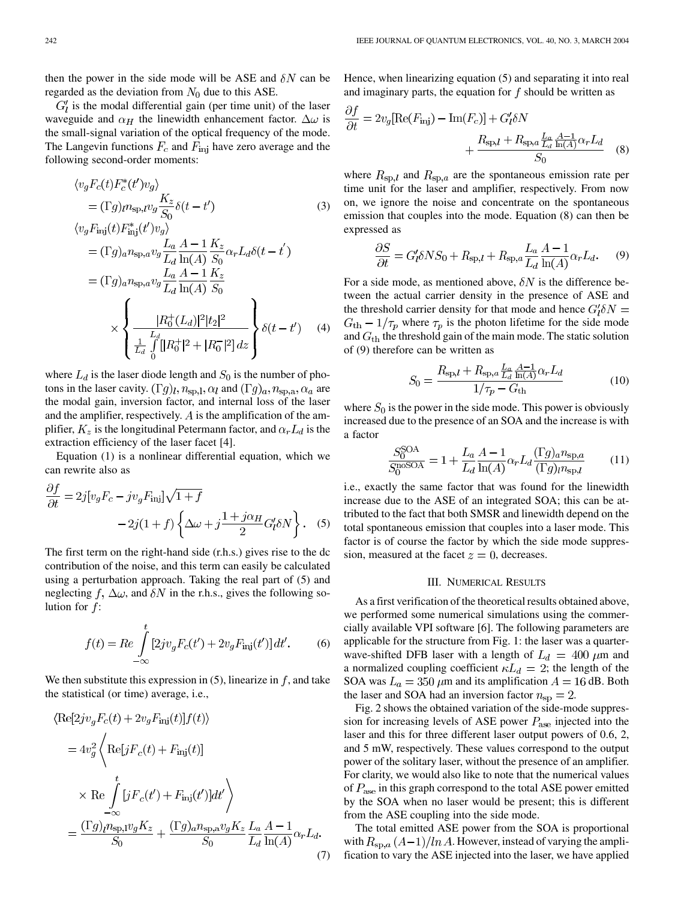then the power in the side mode will be ASE and  $\delta N$  can be regarded as the deviation from  $N_0$  due to this ASE.

 $G'_{l}$  is the modal differential gain (per time unit) of the laser waveguide and  $\alpha_H$  the linewidth enhancement factor.  $\Delta \omega$  is the small-signal variation of the optical frequency of the mode. The Langevin functions  $F_c$  and  $F_{\text{inj}}$  have zero average and the following second-order moments:

$$
\langle v_g F_c(t) F_c^*(t') v_g \rangle
$$
  
\n
$$
= (\Gamma g)_{l} n_{sp,l} v_g \frac{K_z}{S_0} \delta(t - t')
$$
  
\n
$$
\langle v_g F_{\text{inj}}(t) F_{\text{inj}}^*(t') v_g \rangle
$$
  
\n
$$
= (\Gamma g)_{a} n_{sp,a} v_g \frac{L_a}{L_d} \frac{A - 1}{\ln(A)} \frac{K_z}{S_0} \alpha_r L_d \delta(t - t')
$$
  
\n
$$
= (\Gamma g)_{a} n_{sp,a} v_g \frac{L_a}{L_d} \frac{A - 1}{\ln(A)} \frac{K_z}{S_0}
$$
  
\n
$$
\times \left\{ \frac{|R_0^+(L_d)|^2 |t_2|^2}{\frac{L_d}{L_d} \int_{0}^{L_d} [|R_0^+|^2 + |R_0^-|^2] dz} \right\} \delta(t - t')
$$
(4)

where  $L_d$  is the laser diode length and  $S_0$  is the number of photons in the laser cavity.  $(\Gamma g)_l, n_{\text{sp,l}}, \alpha_l$  and  $(\Gamma g)_a, n_{\text{sp,a}}, \alpha_a$  are the modal gain, inversion factor, and internal loss of the laser and the amplifier, respectively.  $\vec{A}$  is the amplification of the amplifier,  $K_z$  is the longitudinal Petermann factor, and  $\alpha_r L_d$  is the extraction efficiency of the laser facet [[4\]](#page-3-0).

Equation (1) is a nonlinear differential equation, which we can rewrite also as

$$
\frac{\partial f}{\partial t} = 2j[v_g F_c - jv_g F_{\text{inj}}] \sqrt{1+f} \n-2j(1+f) \left\{ \Delta \omega + j \frac{1+j \alpha_H}{2} G_l' \delta N \right\}.
$$
\n(5)

The first term on the right-hand side (r.h.s.) gives rise to the dc contribution of the noise, and this term can easily be calculated using a perturbation approach. Taking the real part of (5) and neglecting  $f$ ,  $\Delta\omega$ , and  $\delta N$  in the r.h.s., gives the following solution for  $f$ :

$$
f(t) = Re \int_{-\infty}^{t} [2j v_g F_c(t') + 2v_g F_{\text{inj}}(t')] dt'. \tag{6}
$$

We then substitute this expression in  $(5)$ , linearize in  $f$ , and take the statistical (or time) average, i.e.,

$$
\langle \text{Re}[2j v_g F_c(t) + 2v_g F_{\text{inj}}(t)]f(t) \rangle
$$
  
=  $4v_g^2 \left\langle \text{Re}[j F_c(t) + F_{\text{inj}}(t)] \right\rangle$   
 $\times \text{Re} \int_{-\infty}^t [j F_c(t') + F_{\text{inj}}(t')] dt' \right\rangle$   
=  $\frac{(\Gamma g)_{l} n_{\text{sp,1}} v_g K_z}{S_0} + \frac{(\Gamma g)_{a} n_{\text{sp,a}} v_g K_z}{S_0} \frac{L_a}{L_d} \frac{A - 1}{\ln(A)} \alpha_r L_d.$  (7)

Hence, when linearizing equation (5) and separating it into real and imaginary parts, the equation for  $f$  should be written as

$$
\frac{\partial f}{\partial t} = 2v_g[\text{Re}(F_{\text{inj}}) - \text{Im}(F_c)] + G_l' \delta N + \frac{R_{\text{sp},l} + R_{\text{sp},a} \frac{L_a}{L_d} \frac{A-1}{\ln(A)} \alpha_r L_d}{S_0}
$$
(8)

where  $R_{sp,l}$  and  $R_{sp,a}$  are the spontaneous emission rate per time unit for the laser and amplifier, respectively. From now on, we ignore the noise and concentrate on the spontaneous emission that couples into the mode. Equation (8) can then be expressed as

$$
\frac{\partial S}{\partial t} = G_l' \delta N S_0 + R_{\rm sp,l} + R_{\rm sp,a} \frac{L_a}{L_d} \frac{A - 1}{\ln(A)} \alpha_r L_d. \tag{9}
$$

For a side mode, as mentioned above,  $\delta N$  is the difference between the actual carrier density in the presence of ASE and the threshold carrier density for that mode and hence  $G_I' \delta N =$  $G<sub>th</sub> - 1/\tau_p$  where  $\tau_p$  is the photon lifetime for the side mode and  $G_{\text{th}}$  the threshold gain of the main mode. The static solution of (9) therefore can be written as

$$
S_0 = \frac{R_{\rm sp,l} + R_{\rm sp,a} \frac{L_a}{L_d} \frac{A-1}{\ln(A)} \alpha_r L_d}{1/\tau_p - G_{\rm th}}
$$
(10)

where  $S_0$  is the power in the side mode. This power is obviously increased due to the presence of an SOA and the increase is with a factor

$$
\frac{S_0^{\text{SOA}}}{S_0^{\text{noSOA}}} = 1 + \frac{L_a}{L_d} \frac{A - 1}{\ln(A)} \alpha_r L_d \frac{(\Gamma g)_a n_{\text{sp},a}}{(\Gamma g)_l n_{\text{sp},l}} \tag{11}
$$

i.e., exactly the same factor that was found for the linewidth increase due to the ASE of an integrated SOA; this can be attributed to the fact that both SMSR and linewidth depend on the total spontaneous emission that couples into a laser mode. This factor is of course the factor by which the side mode suppression, measured at the facet  $z = 0$ , decreases.

#### III. NUMERICAL RESULTS

As a first verification of the theoretical results obtained above, we performed some numerical simulations using the commercially available VPI software [\[6](#page-3-0)]. The following parameters are applicable for the structure from Fig. 1: the laser was a quarterwave-shifted DFB laser with a length of  $L_d = 400 \ \mu \text{m}$  and a normalized coupling coefficient  $\kappa L_d = 2$ ; the length of the SOA was  $L_a = 350 \mu$ m and its amplification  $A = 16$  dB. Both the laser and SOA had an inversion factor  $n_{sp} = 2$ .

Fig. 2 shows the obtained variation of the side-mode suppression for increasing levels of ASE power  $P_{\text{ase}}$  injected into the laser and this for three different laser output powers of 0.6, 2, and 5 mW, respectively. These values correspond to the output power of the solitary laser, without the presence of an amplifier. For clarity, we would also like to note that the numerical values of  $P_{\text{ase}}$  in this graph correspond to the total ASE power emitted by the SOA when no laser would be present; this is different from the ASE coupling into the side mode.

The total emitted ASE power from the SOA is proportional with  $R_{\text{sp},a}(A-1)/\ln A$ . However, instead of varying the amplification to vary the ASE injected into the laser, we have applied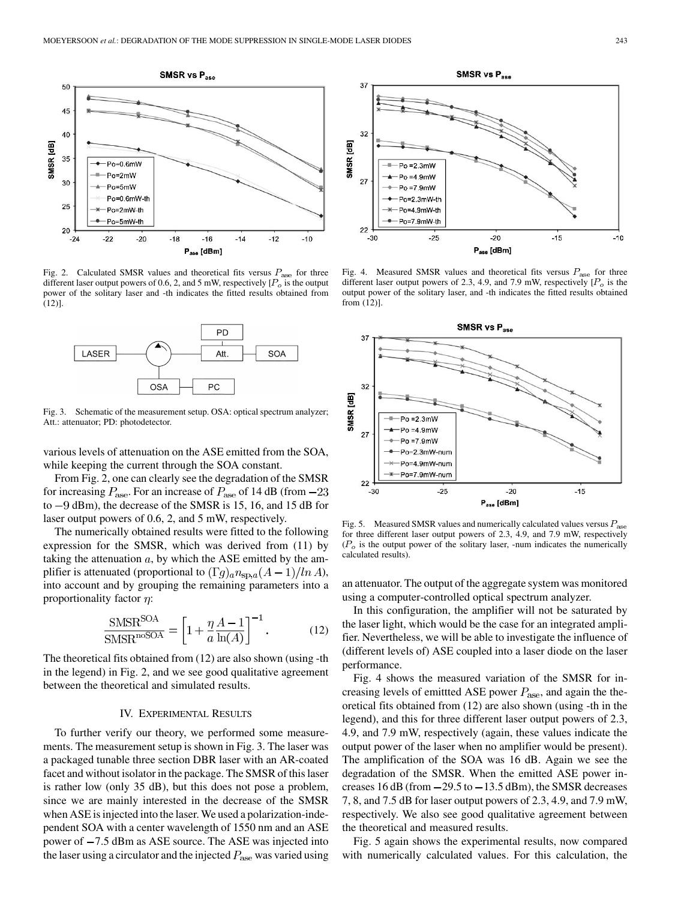

Fig. 2. Calculated SMSR values and theoretical fits versus  $P_{\text{ase}}$  for three different laser output powers of 0.6, 2, and 5 mW, respectively  $[P_o]$  is the output power of the solitary laser and -th indicates the fitted results obtained from (12)].



Fig. 3. Schematic of the measurement setup. OSA: optical spectrum analyzer; Att.: attenuator; PD: photodetector.

various levels of attenuation on the ASE emitted from the SOA, while keeping the current through the SOA constant.

From Fig. 2, one can clearly see the degradation of the SMSR for increasing  $P_{\text{ase}}$ . For an increase of  $P_{\text{ase}}$  of 14 dB (from  $-23$ to  $-9$  dBm), the decrease of the SMSR is 15, 16, and 15 dB for laser output powers of 0.6, 2, and 5 mW, respectively.

The numerically obtained results were fitted to the following expression for the SMSR, which was derived from (11) by taking the attenuation  $a$ , by which the ASE emitted by the amplifier is attenuated (proportional to  $(\Gamma g)_a n_{\text{sp},a}(A-1)/\ln A$ ), into account and by grouping the remaining parameters into a proportionality factor  $\eta$ :

$$
\frac{\text{SMSR}^{\text{SOA}}}{\text{SMSR}^{\text{noSOA}}} = \left[1 + \frac{\eta}{a} \frac{A - 1}{\ln(A)}\right]^{-1}.
$$
 (12)

The theoretical fits obtained from (12) are also shown (using -th in the legend) in Fig. 2, and we see good qualitative agreement between the theoretical and simulated results.

## IV. EXPERIMENTAL RESULTS

To further verify our theory, we performed some measurements. The measurement setup is shown in Fig. 3. The laser was a packaged tunable three section DBR laser with an AR-coated facet and without isolator in the package. The SMSR of this laser is rather low (only 35 dB), but this does not pose a problem, since we are mainly interested in the decrease of the SMSR when ASE is injected into the laser. We used a polarization-independent SOA with a center wavelength of 1550 nm and an ASE power of  $-7.5$  dBm as ASE source. The ASE was injected into the laser using a circulator and the injected  $P_{\text{ase}}$  was varied using



Fig. 4. Measured SMSR values and theoretical fits versus  $P_{\text{ase}}$  for three different laser output powers of 2.3, 4.9, and 7.9 mW, respectively  $[P_o]$  is the output power of the solitary laser, and -th indicates the fitted results obtained from (12)].



Fig. 5. Measured SMSR values and numerically calculated values versus  $P_{\text{ase}}$ for three different laser output powers of 2.3, 4.9, and 7.9 mW, respectively  $(P<sub>o</sub>)$  is the output power of the solitary laser, -num indicates the numerically calculated results).

an attenuator. The output of the aggregate system was monitored using a computer-controlled optical spectrum analyzer.

In this configuration, the amplifier will not be saturated by the laser light, which would be the case for an integrated amplifier. Nevertheless, we will be able to investigate the influence of (different levels of) ASE coupled into a laser diode on the laser performance.

Fig. 4 shows the measured variation of the SMSR for increasing levels of emitted ASE power  $P_{\text{ase}}$ , and again the theoretical fits obtained from (12) are also shown (using -th in the legend), and this for three different laser output powers of 2.3, 4.9, and 7.9 mW, respectively (again, these values indicate the output power of the laser when no amplifier would be present). The amplification of the SOA was 16 dB. Again we see the degradation of the SMSR. When the emitted ASE power increases  $16$  dB (from  $-29.5$  to  $-13.5$  dBm), the SMSR decreases 7, 8, and 7.5 dB for laser output powers of 2.3, 4.9, and 7.9 mW, respectively. We also see good qualitative agreement between the theoretical and measured results.

Fig. 5 again shows the experimental results, now compared with numerically calculated values. For this calculation, the